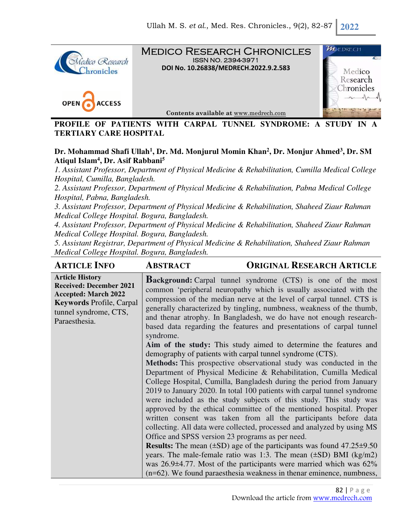

Medico Research Chronicles ISSN NO. 2394-3971 **DOI No. 10.26838/MEDRECH.2022.9.2.583**





**Contents available at** www.medrech.com

**PROFILE OF PATIENTS WITH CARPAL TUNNEL SYNDROME: A STUDY IN TERTIARY CARE HOSPITAL** 

## **Dr. Mohammad Shafi Ullah<sup>1</sup> , Dr. Md. Monjurul Momin Khan<sup>2</sup> , Dr. Monjur Ahmed<sup>3</sup> , Dr. SM Atiqul Islam<sup>4</sup> , Dr. Asif Rabbani<sup>5</sup>**

*1. Assistant Professor, Department of Physical Medicine & Rehabilitation, Cumilla Medical College Hospital, Cumilla, Bangladesh.* 

*2. Assistant Professor, Department of Physical Medicine & Rehabilitation, Pabna Medical College Hospital, Pabna, Bangladesh.* 

*3. Assistant Professor, Department of Physical Medicine & Rehabilitation, Shaheed Ziaur Rahman Medical College Hospital. Bogura, Bangladesh.* 

*4. Assistant Professor, Department of Physical Medicine & Rehabilitation, Shaheed Ziaur Rahman Medical College Hospital. Bogura, Bangladesh.* 

*5. Assistant Registrar, Department of Physical Medicine & Rehabilitation, Shaheed Ziaur Rahman Medical College Hospital. Bogura, Bangladesh.*

| <b>ARTICLE INFO</b>                                                                                                                                                  | <b>ABSTRACT</b>                                                                                                                                                                                                                                                                                                                                                                                                                                       | <b>ORIGINAL RESEARCH ARTICLE</b>                                                                                                                                                                                                              |
|----------------------------------------------------------------------------------------------------------------------------------------------------------------------|-------------------------------------------------------------------------------------------------------------------------------------------------------------------------------------------------------------------------------------------------------------------------------------------------------------------------------------------------------------------------------------------------------------------------------------------------------|-----------------------------------------------------------------------------------------------------------------------------------------------------------------------------------------------------------------------------------------------|
| <b>Article History</b><br><b>Received: December 2021</b><br><b>Accepted: March 2022</b><br><b>Keywords Profile, Carpal</b><br>tunnel syndrome, CTS,<br>Paraesthesia. | <b>Background:</b> Carpal tunnel syndrome (CTS) is one of the most<br>common 'peripheral neuropathy which is usually associated with the<br>compression of the median nerve at the level of carpal tunnel. CTS is<br>generally characterized by tingling, numbness, weakness of the thumb,<br>and thenar atrophy. In Bangladesh, we do have not enough research-<br>based data regarding the features and presentations of carpal tunnel<br>syndrome. |                                                                                                                                                                                                                                               |
|                                                                                                                                                                      | demography of patients with carpal tunnel syndrome (CTS).                                                                                                                                                                                                                                                                                                                                                                                             | Aim of the study: This study aimed to determine the features and                                                                                                                                                                              |
|                                                                                                                                                                      |                                                                                                                                                                                                                                                                                                                                                                                                                                                       | Methods: This prospective observational study was conducted in the<br>Department of Physical Medicine & Rehabilitation, Cumilla Medical<br>College Hospital, Cumilla, Bangladesh during the period from January                               |
|                                                                                                                                                                      |                                                                                                                                                                                                                                                                                                                                                                                                                                                       | 2019 to January 2020. In total 100 patients with carpal tunnel syndrome<br>were included as the study subjects of this study. This study was<br>approved by the ethical committee of the mentioned hospital. Proper                           |
|                                                                                                                                                                      | Office and SPSS version 23 programs as per need.                                                                                                                                                                                                                                                                                                                                                                                                      | written consent was taken from all the participants before data<br>collecting. All data were collected, processed and analyzed by using MS                                                                                                    |
|                                                                                                                                                                      |                                                                                                                                                                                                                                                                                                                                                                                                                                                       | <b>Results:</b> The mean $(\pm SD)$ age of the participants was found $47.25\pm9.50$<br>years. The male-female ratio was 1:3. The mean $(\pm SD)$ BMI $(kg/m2)$<br>was $26.9\pm4.77$ . Most of the participants were married which was $62\%$ |
|                                                                                                                                                                      |                                                                                                                                                                                                                                                                                                                                                                                                                                                       | (n=62). We found paraesthesia weakness in thenar eminence, numbness,                                                                                                                                                                          |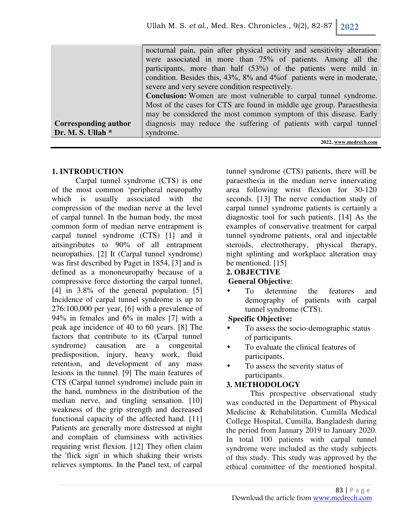|                      | nocturnal pain, pain after physical activity and sensitivity alteration |
|----------------------|-------------------------------------------------------------------------|
|                      | were associated in more than 75% of patients. Among all the             |
|                      | participants, more than half (53%) of the patients were mild in         |
|                      | condition. Besides this, 43%, 8% and 4% of patients were in moderate,   |
|                      | severe and very severe condition respectively.                          |
|                      | Conclusion: Women are most vulnerable to carpal tunnel syndrome.        |
|                      | Most of the cases for CTS are found in middle age group. Paraesthesia   |
|                      | may be considered the most common symptom of this disease. Early        |
| Corresponding author | diagnosis may reduce the suffering of patients with carpal tunnel       |
| Dr. M. S. Ullah *    | syndrome.                                                               |
|                      | 2022, www.medrech.com                                                   |

### **1. INTRODUCTION**

Carpal tunnel syndrome (CTS) is one of the most common 'peripheral neuropathy which is usually associated with the compression of the median nerve at the level of carpal tunnel. In the human body, the most common form of median nerve entrapment is carpal tunnel syndrome (CTS) [1] and it aitsingributes to 90% of all entrapment neuropathies. [2] It (Carpal tunnel syndrome) was first described by Paget in 1854, [3] and is defined as a mononeuropathy because of a compressive force distorting the carpal tunnel, [4] in 3.8% of the general population. [5] Incidence of carpal tunnel syndrome is up to 276:100,000 per year, [6] with a prevalence of 94% in females and 6% in males [7] with a peak age incidence of 40 to 60 years. [8] The factors that contribute to its (Carpal tunnel syndrome) causation are a congenital predisposition, injury, heavy work, fluid retention, and development of any mass lesions in the tunnel. [9] The main features of CTS (Carpal tunnel syndrome) include pain in the hand, numbness in the distribution of the median nerve, and tingling sensation. [10] weakness of the grip strength and decreased functional capacity of the affected hand. [11] Patients are generally more distressed at night and complain of clumsiness with activities requiring wrist flexion. [12] They often claim the 'flick sign' in which shaking their wrists relieves symptoms. In the Panel test, of carpal

tunnel syndrome (CTS) patients, there will be paraesthesia in the median nerve innervating area following wrist flexion for 30-120 seconds. [13] The nerve conduction study of carpal tunnel syndrome patients is certainly a diagnostic tool for such patients. [14] As the examples of conservative treatment for carpal tunnel syndrome patients, oral and injectable steroids, electrotherapy, physical therapy, night splinting and workplace alteration may be mentioned. [15]

#### **2. OBJECTIVE**

### **General Objective**:

To determine the features and demography of patients with carpal tunnel syndrome (CTS).

### **Specific Objective:**

- To assess the socio-demographic status of participants.
- To evaluate the clinical features of participants.
- To assess the severity status of participants.

## **3. METHODOLOGY**

This prospective observational study was conducted in the Department of Physical Medicine & Rehabilitation, Cumilla Medical College Hospital, Cumilla, Bangladesh during the period from January 2019 to January 2020. In total 100 patients with carpal tunnel syndrome were included as the study subjects of this study. This study was approved by the ethical committee of the mentioned hospital.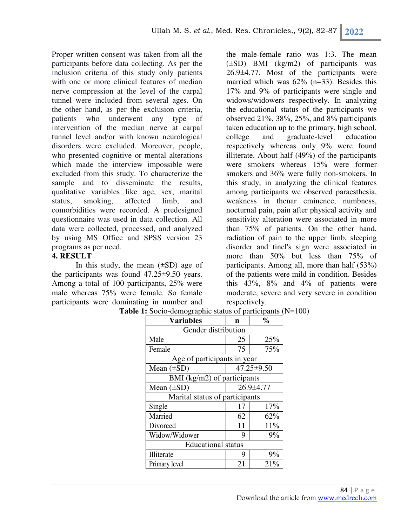Proper written consent was taken from all the participants before data collecting. As per the inclusion criteria of this study only patients with one or more clinical features of median nerve compression at the level of the carpal tunnel were included from several ages. On the other hand, as per the exclusion criteria, patients who underwent any type of intervention of the median nerve at carpal tunnel level and/or with known neurological disorders were excluded. Moreover, people, who presented cognitive or mental alterations which made the interview impossible were excluded from this study. To characterize the sample and to disseminate the results, qualitative variables like age, sex, marital status, smoking, affected limb, and comorbidities were recorded. A predesigned questionnaire was used in data collection. All data were collected, processed, and analyzed by using MS Office and SPSS version 23 programs as per need.

### **4. RESULT**

In this study, the mean  $(\pm SD)$  age of the participants was found 47.25±9.50 years. Among a total of 100 participants, 25% were male whereas 75% were female. So female participants were dominating in number and

the male-female ratio was 1:3. The mean (±SD) BMI (kg/m2) of participants was 26.9±4.77. Most of the participants were married which was 62% (n=33). Besides this 17% and 9% of participants were single and widows/widowers respectively. In analyzing the educational status of the participants we observed 21%, 38%, 25%, and 8% participants taken education up to the primary, high school, college and graduate-level education respectively whereas only 9% were found illiterate. About half (49%) of the participants were smokers whereas 15% were former smokers and 36% were fully non-smokers. In this study, in analyzing the clinical features among participants we observed paraesthesia, weakness in thenar eminence, numbness, nocturnal pain, pain after physical activity and sensitivity alteration were associated in more than 75% of patients. On the other hand, radiation of pain to the upper limb, sleeping disorder and tinel's sign were associated in more than 50% but less than 75% of participants. Among all, more than half (53%) of the patients were mild in condition. Besides this 43%, 8% and 4% of patients were moderate, severe and very severe in condition respectively.

| <b>Variables</b>                       | n               | $\frac{0}{0}$ |  |
|----------------------------------------|-----------------|---------------|--|
| Gender distribution                    |                 |               |  |
| Male                                   | 25              | 25%           |  |
| Female                                 | 75              | 75%           |  |
| Age of participants in year            |                 |               |  |
| Mean $(\pm SD)$                        | 47.25±9.50      |               |  |
| BMI ( $\text{kg/m2}$ ) of participants |                 |               |  |
| Mean $(\pm SD)$                        | $26.9 \pm 4.77$ |               |  |
| Marital status of participants         |                 |               |  |
| Single                                 | 17              | 17%           |  |
| Married                                | 62              | 62%           |  |
| Divorced                               | 11              | 11%           |  |
| Widow/Widower                          | 9               | $9\%$         |  |
| <b>Educational</b> status              |                 |               |  |
| Illiterate                             | 9               | 9%            |  |
| Primary level                          | 21              | 21%           |  |

**Table 1:** Socio-demographic status of participants (N=100)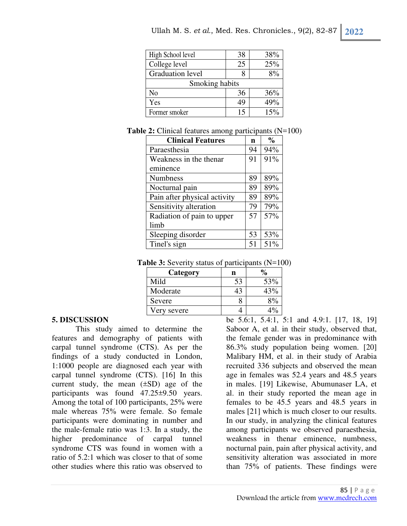| High School level       | 38 | 38% |
|-------------------------|----|-----|
| College level           | 25 | 25% |
| <b>Graduation</b> level |    | 8%  |
| Smoking habits          |    |     |
| No                      | 36 | 36% |
| Yes                     | 49 | 49% |
| Former smoker           | 15 | 15% |

**Table 2:** Clinical features among participants (N=100)

| <b>Clinical Features</b>     | n  | $\%$ |
|------------------------------|----|------|
| Paraesthesia                 | 94 | 94%  |
| Weakness in the thenar       | 91 | 91%  |
| eminence                     |    |      |
| <b>Numbness</b>              | 89 | 89%  |
| Nocturnal pain               | 89 | 89%  |
| Pain after physical activity | 89 | 89%  |
| Sensitivity alteration       | 79 | 79%  |
| Radiation of pain to upper   | 57 | 57%  |
| limb                         |    |      |
| Sleeping disorder            | 53 | 53%  |
| Tinel's sign                 | 51 | 51%  |

| <b>Table 3:</b> Severity status of participants $(N=100)$ |  |  |  |
|-----------------------------------------------------------|--|--|--|
|-----------------------------------------------------------|--|--|--|

| Category    |    |     |
|-------------|----|-----|
| Mild        | 53 | 53% |
| Moderate    | 43 | 43% |
| Severe      |    |     |
| Very severe |    |     |

#### **5. DISCUSSION**

This study aimed to determine the features and demography of patients with carpal tunnel syndrome (CTS). As per the findings of a study conducted in London, 1:1000 people are diagnosed each year with carpal tunnel syndrome (CTS). [16] In this current study, the mean  $(\pm SD)$  age of the participants was found 47.25±9.50 years. Among the total of 100 participants, 25% were male whereas 75% were female. So female participants were dominating in number and the male-female ratio was 1:3. In a study, the higher predominance of carpal tunnel syndrome CTS was found in women with a ratio of 5.2:1 which was closer to that of some other studies where this ratio was observed to

be 5.6:1, 5.4:1, 5:1 and 4.9:1. [17, 18, 19] Saboor A, et al. in their study, observed that, the female gender was in predominance with 86.3% study population being women. [20] Malibary HM, et al. in their study of Arabia recruited 336 subjects and observed the mean age in females was 52.4 years and 48.5 years in males. [19] Likewise, Abumunaser LA, et al. in their study reported the mean age in females to be 45.5 years and 48.5 years in males [21] which is much closer to our results. In our study, in analyzing the clinical features among participants we observed paraesthesia, weakness in thenar eminence, numbness, nocturnal pain, pain after physical activity, and sensitivity alteration was associated in more than 75% of patients. These findings were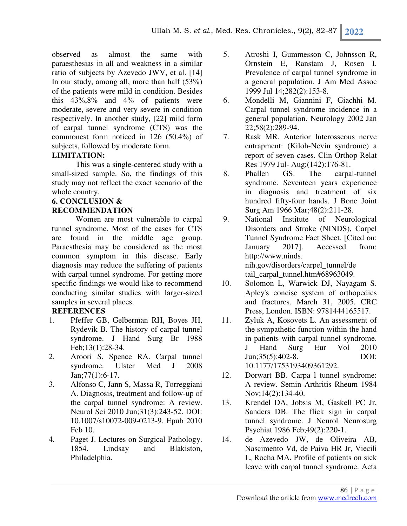observed as almost the same with paraesthesias in all and weakness in a similar ratio of subjects by Azevedo JWV, et al. [14] In our study, among all, more than half (53%) of the patients were mild in condition. Besides this 43%,8% and 4% of patients were moderate, severe and very severe in condition respectively. In another study, [22] mild form of carpal tunnel syndrome (CTS) was the commonest form noticed in 126 (50.4%) of subjects, followed by moderate form.

### **LIMITATION:**

This was a single-centered study with a small-sized sample. So, the findings of this study may not reflect the exact scenario of the whole country.

# **6. CONCLUSION & RECOMMENDATION**

Women are most vulnerable to carpal tunnel syndrome. Most of the cases for CTS are found in the middle age group. Paraesthesia may be considered as the most common symptom in this disease. Early diagnosis may reduce the suffering of patients with carpal tunnel syndrome. For getting more specific findings we would like to recommend conducting similar studies with larger-sized samples in several places.

### **REFERENCES**

- 1. Pfeffer GB, Gelberman RH, Boyes JH, Rydevik B. The history of carpal tunnel syndrome. J Hand Surg Br 1988 Feb;13(1):28-34.
- 2. Aroori S, Spence RA. Carpal tunnel syndrome. Ulster Med J 2008 Jan;77(1):6-17.
- 3. Alfonso C, Jann S, Massa R, Torreggiani A. Diagnosis, treatment and follow-up of the carpal tunnel syndrome: A review. Neurol Sci 2010 Jun;31(3):243-52. DOI: 10.1007/s10072-009-0213-9. Epub 2010 Feb 10.
- 4. Paget J. Lectures on Surgical Pathology. 1854. Lindsay and Blakiston, Philadelphia.
- 5. Atroshi I, Gummesson C, Johnsson R, Ornstein E, Ranstam J, Rosen I. Prevalence of carpal tunnel syndrome in a general population. J Am Med Assoc 1999 Jul 14;282(2):153-8.
- 6. Mondelli M, Giannini F, Giachhi M. Carpal tunnel syndrome incidence in a general population. Neurology 2002 Jan 22;58(2):289-94.
- 7. Rask MR. Anterior Interosseous nerve entrapment: (Kiloh-Nevin syndrome) a report of seven cases. Clin Orthop Relat Res 1979 Jul- Aug;(142):176-81.
- 8. Phallen GS. The carpal-tunnel syndrome. Seventeen years experience in diagnosis and treatment of six hundred fifty-four hands. J Bone Joint Surg Am 1966 Mar;48(2):211-28.
- 9. National Institute of Neurological Disorders and Stroke (NINDS), Carpel Tunnel Syndrome Fact Sheet. [Cited on: January 2017]. Accessed from: http://www.ninds. nih.gov/disorders/carpel\_tunnel/de tail\_carpal\_tunnel.htm#68963049.
- 10. Solomon L, Warwick DJ, Nayagam S. Apley's concise system of orthopedics and fractures. March 31, 2005. CRC Press, London. ISBN: 9781444165517.
- 11. Zyluk A, Kosovets L. An assessment of the sympathetic function within the hand in patients with carpal tunnel syndrome. J Hand Surg Eur Vol 2010 Jun;35(5):402-8. DOI: 10.1177/1753193409361292.
- 12. Dorwart BB. Carpa l tunnel syndrome: A review. Semin Arthritis Rheum 1984 Nov;14(2):134-40.
- 13. Krendel DA, Jobsis M, Gaskell PC Jr, Sanders DB. The flick sign in carpal tunnel syndrome. J Neurol Neurosurg Psychiat 1986 Feb;49(2):220-1.
- 14. de Azevedo JW, de Oliveira AB, Nascimento Vd, de Paiva HR Jr, Viecili L, Rocha MA. Profile of patients on sick leave with carpal tunnel syndrome. Acta